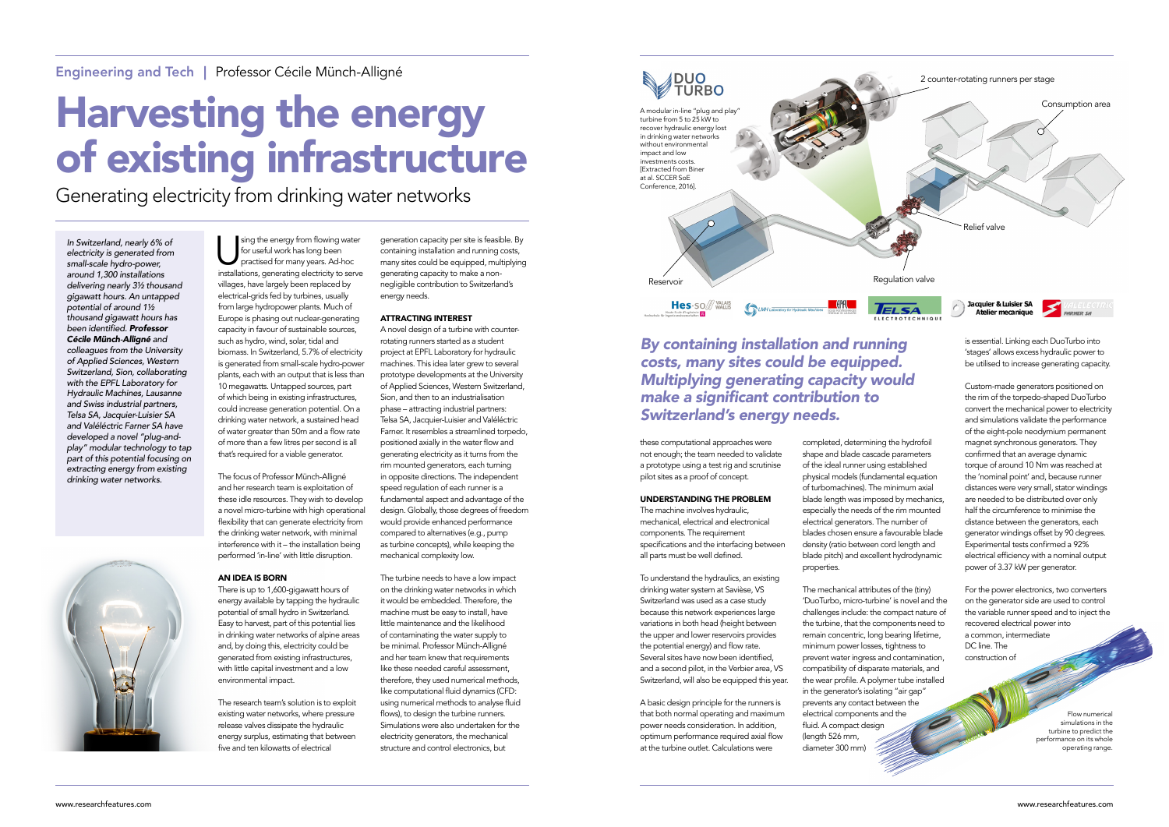sing the energy from flowing water for useful work has long been practised for many years. Ad-hoc installations, generating electricity to serve villages, have largely been replaced by electrical-grids fed by turbines, usually from large hydropower plants. Much of Europe is phasing out nuclear-generating capacity in favour of sustainable sources, such as hydro, wind, solar, tidal and biomass. In Switzerland, 5.7% of electricity is generated from small-scale hydro-power plants, each with an output that is less than 10 megawatts. Untapped sources, part of which being in existing infrastructures, could increase generation potential. On a drinking water network, a sustained head of water greater than 50m and a flow rate of more than a few litres per second is all

that's required for a viable generator.

The focus of Professor Münch-Alligné and her research team is exploitation of these idle resources. They wish to develop a novel micro-turbine with high operational flexibility that can generate electricity from the drinking water network, with minimal interference with it – the installation being performed 'in-line' with little disruption.

# AN IDEA IS BORN

There is up to 1,600-gigawatt hours of energy available by tapping the hydraulic potential of small hydro in Switzerland. Easy to harvest, part of this potential lies in drinking water networks of alpine areas and, by doing this, electricity could be generated from existing infrastructures, with little capital investment and a low environmental impact.

The research team's solution is to exploit existing water networks, where pressure release valves dissipate the hydraulic energy surplus, estimating that between five and ten kilowatts of electrical

generation capacity per site is feasible. By containing installation and running costs, many sites could be equipped, multiplying generating capacity to make a nonnegligible contribution to Switzerland's energy needs.

# ATTRACTING INTEREST

A novel design of a turbine with counterrotating runners started as a student project at EPFL Laboratory for hydraulic machines. This idea later grew to several prototype developments at the University of Applied Sciences, Western Switzerland, Sion, and then to an industrialisation phase – attracting industrial partners: Telsa SA, Jacquier-Luisier and Valéléctric Farner. It resembles a streamlined torpedo, positioned axially in the water flow and generating electricity as it turns from the rim mounted generators, each turning in opposite directions. The independent speed regulation of each runner is a fundamental aspect and advantage of the design. Globally, those degrees of freedom would provide enhanced performance compared to alternatives (e.g., pump as turbine concepts), while keeping the mechanical complexity low.

The turbine needs to have a low impact on the drinking water networks in which it would be embedded. Therefore, the machine must be easy to install, have little maintenance and the likelihood of contaminating the water supply to be minimal. Professor Münch-Alligné and her team knew that requirements like these needed careful assessment, therefore, they used numerical methods, like computational fluid dynamics (CFD: using numerical methods to analyse fluid flows), to design the turbine runners. Simulations were also undertaken for the electricity generators, the mechanical structure and control electronics, but

# Harvesting the energy of existing infrastructure

Generating electricity from drinking water networks

*In Switzerland, nearly 6% of electricity is generated from small-scale hydro-power, around 1,300 installations delivering nearly 3½ thousand gigawatt hours. An untapped potential of around 1½ thousand gigawatt hours has*  been identified. *Professor Cécile Münch-Alligné and colleagues from the University of Applied Sciences, Western Switzerland, Sion, collaborating with the EPFL Laboratory for Hydraulic Machines, Lausanne and Swiss industrial partners, Telsa SA, Jacquier-Luisier SA and Valéléctric Farner SA have developed a novel "plug-andplay" modular technology to tap part of this potential focusing on extracting energy from existing drinking water networks.*



these computational approaches were not enough; the team needed to validate a prototype using a test rig and scrutinise pilot sites as a proof of concept.

# UNDERSTANDING THE PROBLEM

The machine involves hydraulic, mechanical, electrical and electronical components. The requirement specifications and the interfacing between all parts must be well defined.

To understand the hydraulics, an existing drinking water system at Savièse, VS Switzerland was used as a case study because this network experiences large variations in both head (height between the upper and lower reservoirs provides the potential energy) and flow rate. Several sites have now been identified, and a second pilot, in the Verbier area, VS Switzerland, will also be equipped this year.

A basic design principle for the runners is that both normal operating and maximum power needs consideration. In addition, optimum performance required axial flow at the turbine outlet. Calculations were

completed, determining the hydrofoil shape and blade cascade parameters of the ideal runner using established physical models (fundamental equation of turbomachines). The minimum axial blade length was imposed by mechanics, especially the needs of the rim mounted electrical generators. The number of blades chosen ensure a favourable blade density (ratio between cord length and blade pitch) and excellent hydrodynamic properties.

The mechanical attributes of the (tiny) 'DuoTurbo, micro-turbine' is novel and the challenges include: the compact nature of the turbine, that the components need to remain concentric, long bearing lifetime, minimum power losses, tightness to prevent water ingress and contamination, compatibility of disparate materials, and the wear profile. A polymer tube installed in the generator's isolating "air gap" prevents any contact between the electrical components and the fluid. A compact design  $($ length 526 mm, diameter 300 mm)

is essential. Linking each DuoTurbo into 'stages' allows excess hydraulic power to be utilised to increase generating capacity.

Custom-made generators positioned on the rim of the torpedo-shaped DuoTurbo convert the mechanical power to electricity and simulations validate the performance of the eight-pole neodymium permanent magnet synchronous generators. They confirmed that an average dynamic torque of around 10 Nm was reached at the 'nominal point' and, because runner distances were very small, stator windings are needed to be distributed over only half the circumference to minimise the distance between the generators, each generator windings offset by 90 degrees. Experimental tests confirmed a 92% electrical efficiency with a nominal output power of 3.37 kW per generator.

For the power electronics, two converters on the generator side are used to control the variable runner speed and to inject the recovered electrical power into a common, intermediate DC line. The construction of

# *By containing installation and running costs, many sites could be equipped. Multiplying generating capacity would*  make a significant contribution to *Switzerland's energy needs.*

Flow numerical simulations in the turbine to predict the performance on its whole operating range.